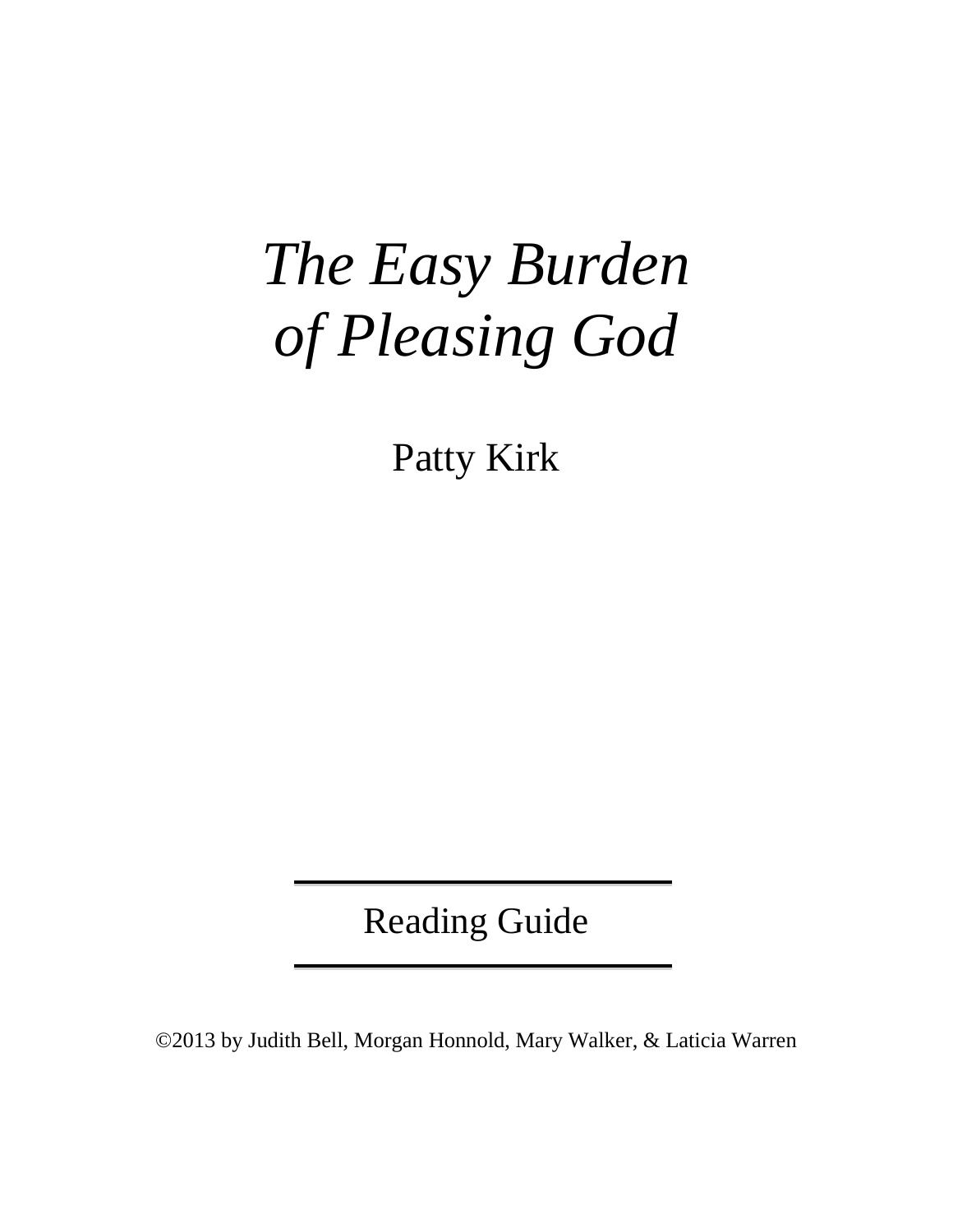# *The Easy Burden of Pleasing God*

Patty Kirk

Reading Guide

©2013 by Judith Bell, Morgan Honnold, Mary Walker, & Laticia Warren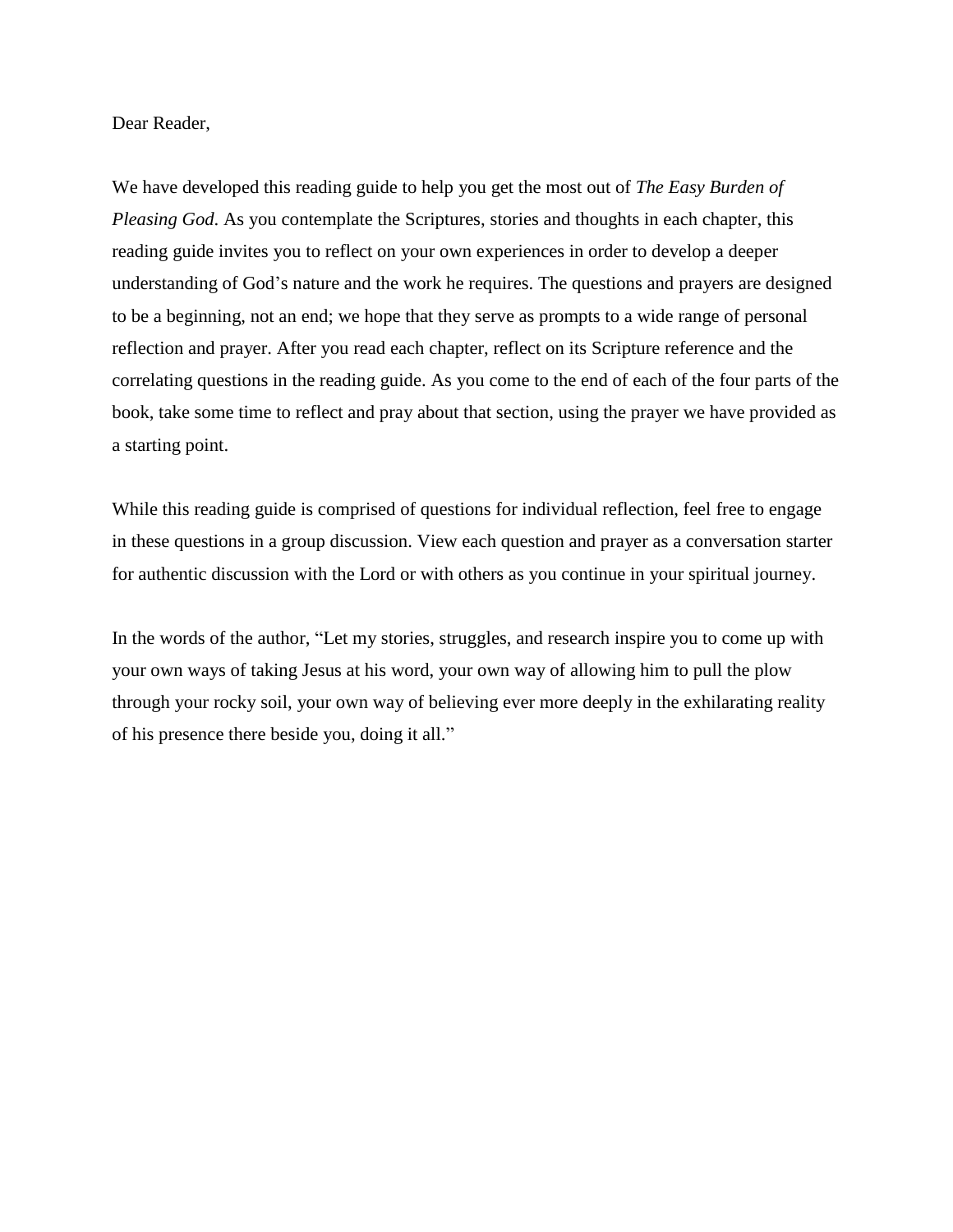Dear Reader,

We have developed this reading guide to help you get the most out of *The Easy Burden of Pleasing God*. As you contemplate the Scriptures, stories and thoughts in each chapter, this reading guide invites you to reflect on your own experiences in order to develop a deeper understanding of God's nature and the work he requires. The questions and prayers are designed to be a beginning, not an end; we hope that they serve as prompts to a wide range of personal reflection and prayer. After you read each chapter, reflect on its Scripture reference and the correlating questions in the reading guide. As you come to the end of each of the four parts of the book, take some time to reflect and pray about that section, using the prayer we have provided as a starting point.

While this reading guide is comprised of questions for individual reflection, feel free to engage in these questions in a group discussion. View each question and prayer as a conversation starter for authentic discussion with the Lord or with others as you continue in your spiritual journey.

In the words of the author, "Let my stories, struggles, and research inspire you to come up with your own ways of taking Jesus at his word, your own way of allowing him to pull the plow through your rocky soil, your own way of believing ever more deeply in the exhilarating reality of his presence there beside you, doing it all."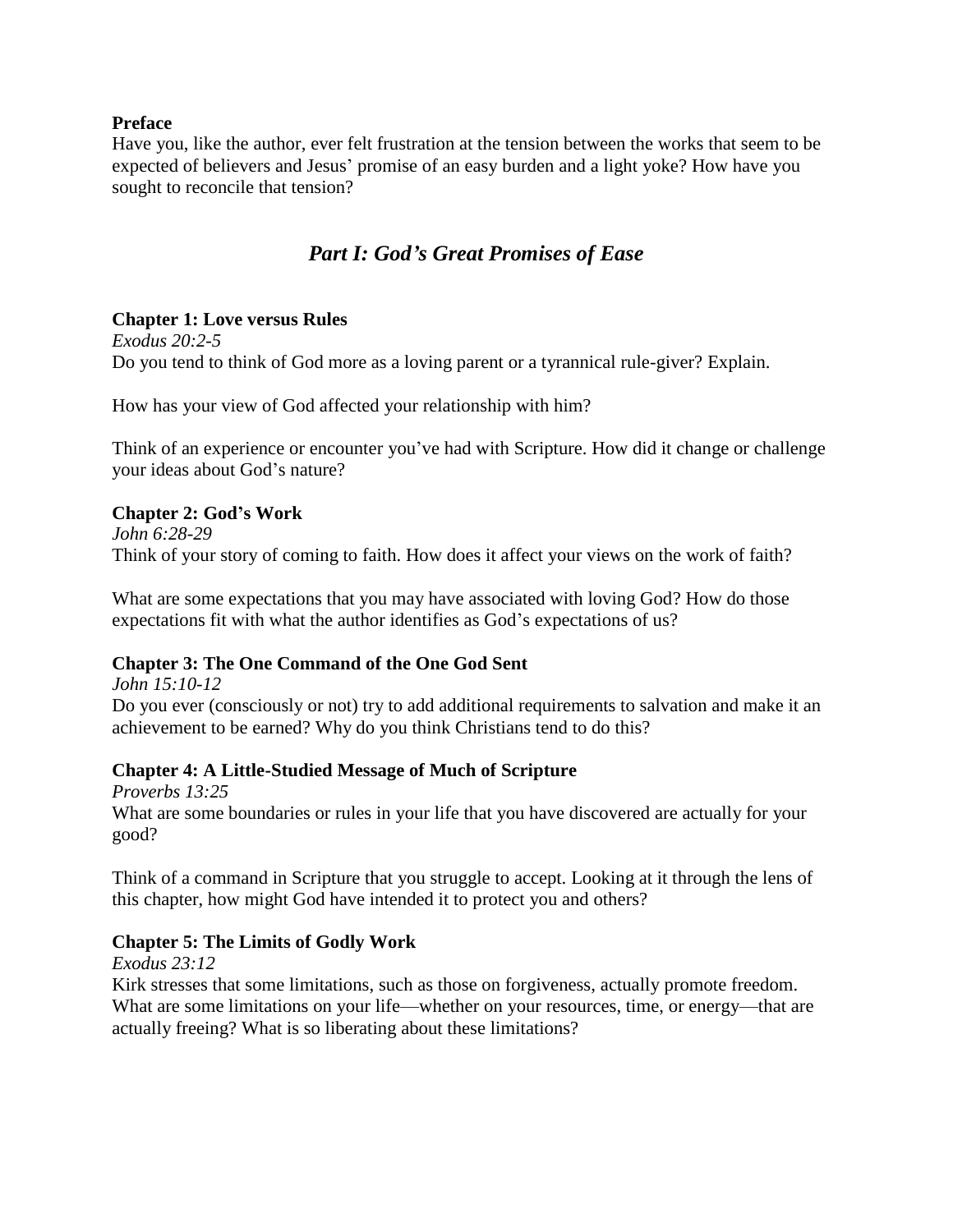#### **Preface**

Have you, like the author, ever felt frustration at the tension between the works that seem to be expected of believers and Jesus' promise of an easy burden and a light yoke? How have you sought to reconcile that tension?

# *Part I: God's Great Promises of Ease*

#### **Chapter 1: Love versus Rules**

*Exodus 20:2-5* Do you tend to think of God more as a loving parent or a tyrannical rule-giver? Explain.

How has your view of God affected your relationship with him?

Think of an experience or encounter you've had with Scripture. How did it change or challenge your ideas about God's nature?

#### **Chapter 2: God's Work**

*John 6:28-29* Think of your story of coming to faith. How does it affect your views on the work of faith?

What are some expectations that you may have associated with loving God? How do those expectations fit with what the author identifies as God's expectations of us?

#### **Chapter 3: The One Command of the One God Sent**

*John 15:10-12* Do you ever (consciously or not) try to add additional requirements to salvation and make it an achievement to be earned? Why do you think Christians tend to do this?

#### **Chapter 4: A Little-Studied Message of Much of Scripture**

*Proverbs 13:25* What are some boundaries or rules in your life that you have discovered are actually for your good?

Think of a command in Scripture that you struggle to accept. Looking at it through the lens of this chapter, how might God have intended it to protect you and others?

#### **Chapter 5: The Limits of Godly Work**

*Exodus 23:12*

Kirk stresses that some limitations, such as those on forgiveness, actually promote freedom. What are some limitations on your life—whether on your resources, time, or energy—that are actually freeing? What is so liberating about these limitations?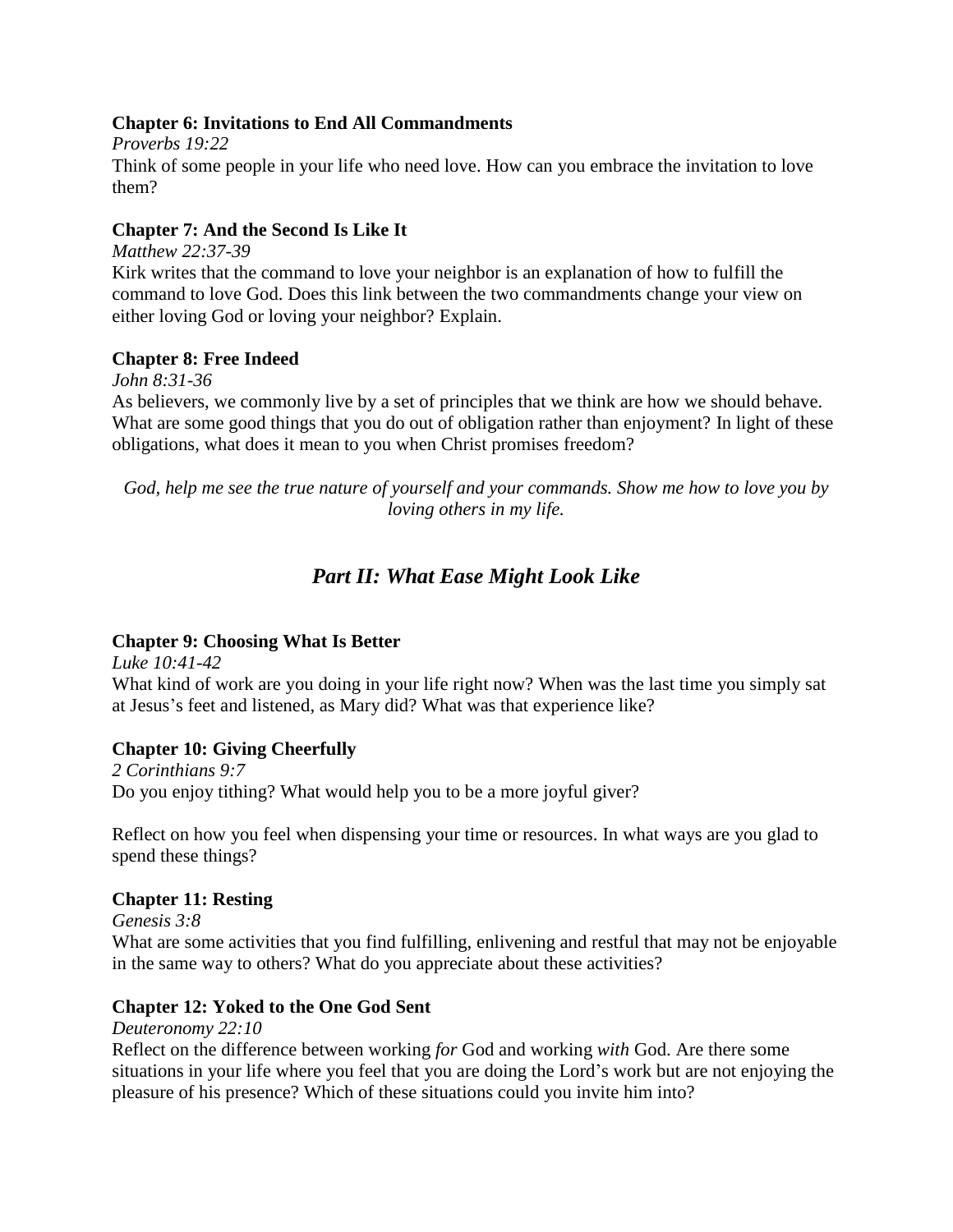#### **Chapter 6: Invitations to End All Commandments**

*Proverbs 19:22* Think of some people in your life who need love. How can you embrace the invitation to love them?

#### **Chapter 7: And the Second Is Like It**

*Matthew 22:37-39*

Kirk writes that the command to love your neighbor is an explanation of how to fulfill the command to love God. Does this link between the two commandments change your view on either loving God or loving your neighbor? Explain.

#### **Chapter 8: Free Indeed**

*John 8:31-36*

As believers, we commonly live by a set of principles that we think are how we should behave. What are some good things that you do out of obligation rather than enjoyment? In light of these obligations, what does it mean to you when Christ promises freedom?

*God, help me see the true nature of yourself and your commands. Show me how to love you by loving others in my life.*

## *Part II: What Ease Might Look Like*

#### **Chapter 9: Choosing What Is Better**

*Luke 10:41-42* What kind of work are you doing in your life right now? When was the last time you simply sat at Jesus's feet and listened, as Mary did? What was that experience like?

#### **Chapter 10: Giving Cheerfully**

*2 Corinthians 9:7* Do you enjoy tithing? What would help you to be a more joyful giver?

Reflect on how you feel when dispensing your time or resources. In what ways are you glad to spend these things?

#### **Chapter 11: Resting**

*Genesis 3:8*

What are some activities that you find fulfilling, enlivening and restful that may not be enjoyable in the same way to others? What do you appreciate about these activities?

#### **Chapter 12: Yoked to the One God Sent**

*Deuteronomy 22:10*

Reflect on the difference between working *for* God and working *with* God. Are there some situations in your life where you feel that you are doing the Lord's work but are not enjoying the pleasure of his presence? Which of these situations could you invite him into?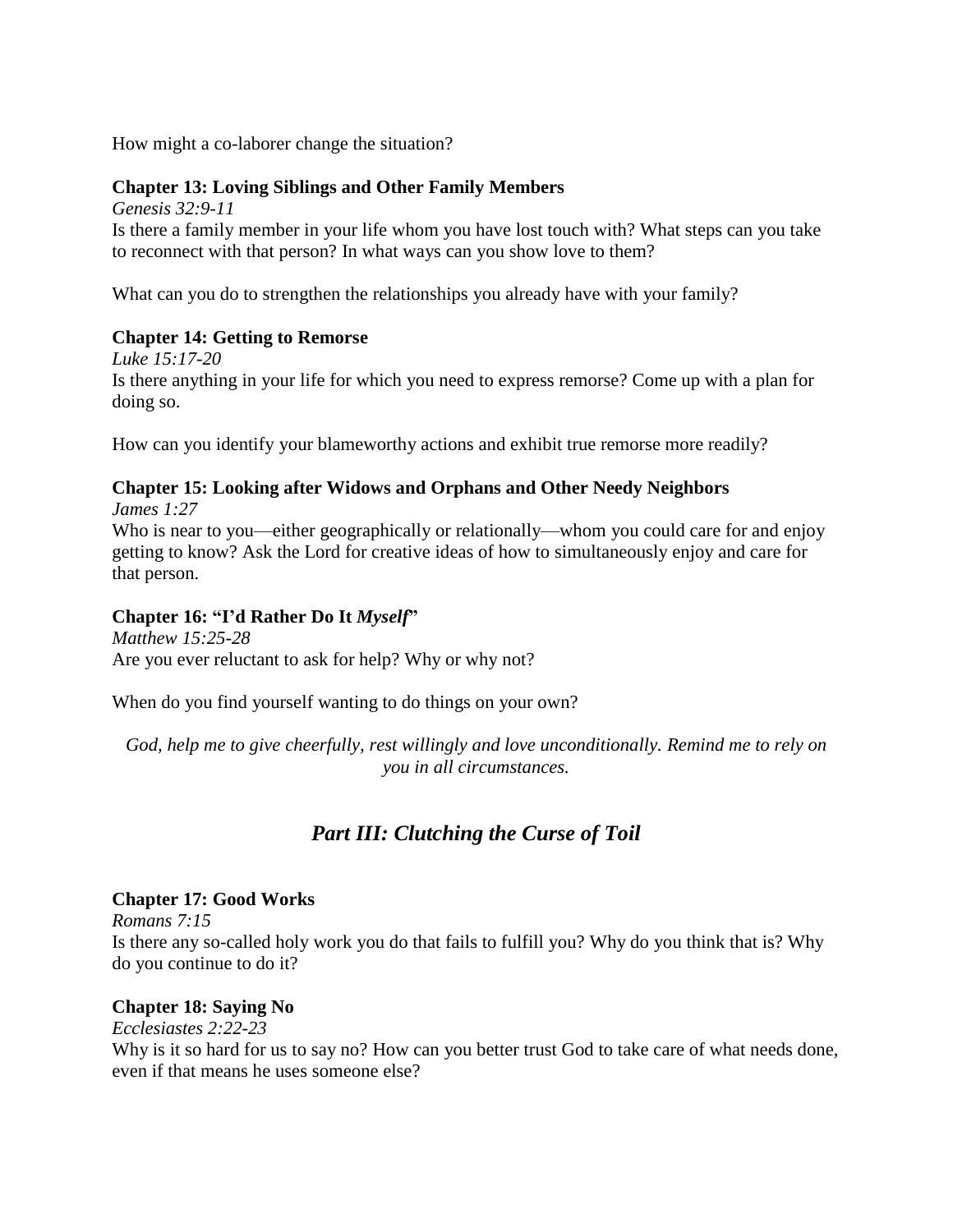How might a co-laborer change the situation?

#### **Chapter 13: Loving Siblings and Other Family Members**

*Genesis 32:9-11*

Is there a family member in your life whom you have lost touch with? What steps can you take to reconnect with that person? In what ways can you show love to them?

What can you do to strengthen the relationships you already have with your family?

#### **Chapter 14: Getting to Remorse**

*Luke 15:17-20* Is there anything in your life for which you need to express remorse? Come up with a plan for doing so.

How can you identify your blameworthy actions and exhibit true remorse more readily?

#### **Chapter 15: Looking after Widows and Orphans and Other Needy Neighbors** *James 1:27*

Who is near to you—either geographically or relationally—whom you could care for and enjoy getting to know? Ask the Lord for creative ideas of how to simultaneously enjoy and care for that person.

#### **Chapter 16: "I'd Rather Do It** *Myself***"**

*Matthew 15:25-28* Are you ever reluctant to ask for help? Why or why not?

When do you find yourself wanting to do things on your own?

*God, help me to give cheerfully, rest willingly and love unconditionally. Remind me to rely on you in all circumstances.*

# *Part III: Clutching the Curse of Toil*

#### **Chapter 17: Good Works**

*Romans 7:15*

Is there any so-called holy work you do that fails to fulfill you? Why do you think that is? Why do you continue to do it?

#### **Chapter 18: Saying No**

*Ecclesiastes 2:22-23*

Why is it so hard for us to say no? How can you better trust God to take care of what needs done, even if that means he uses someone else?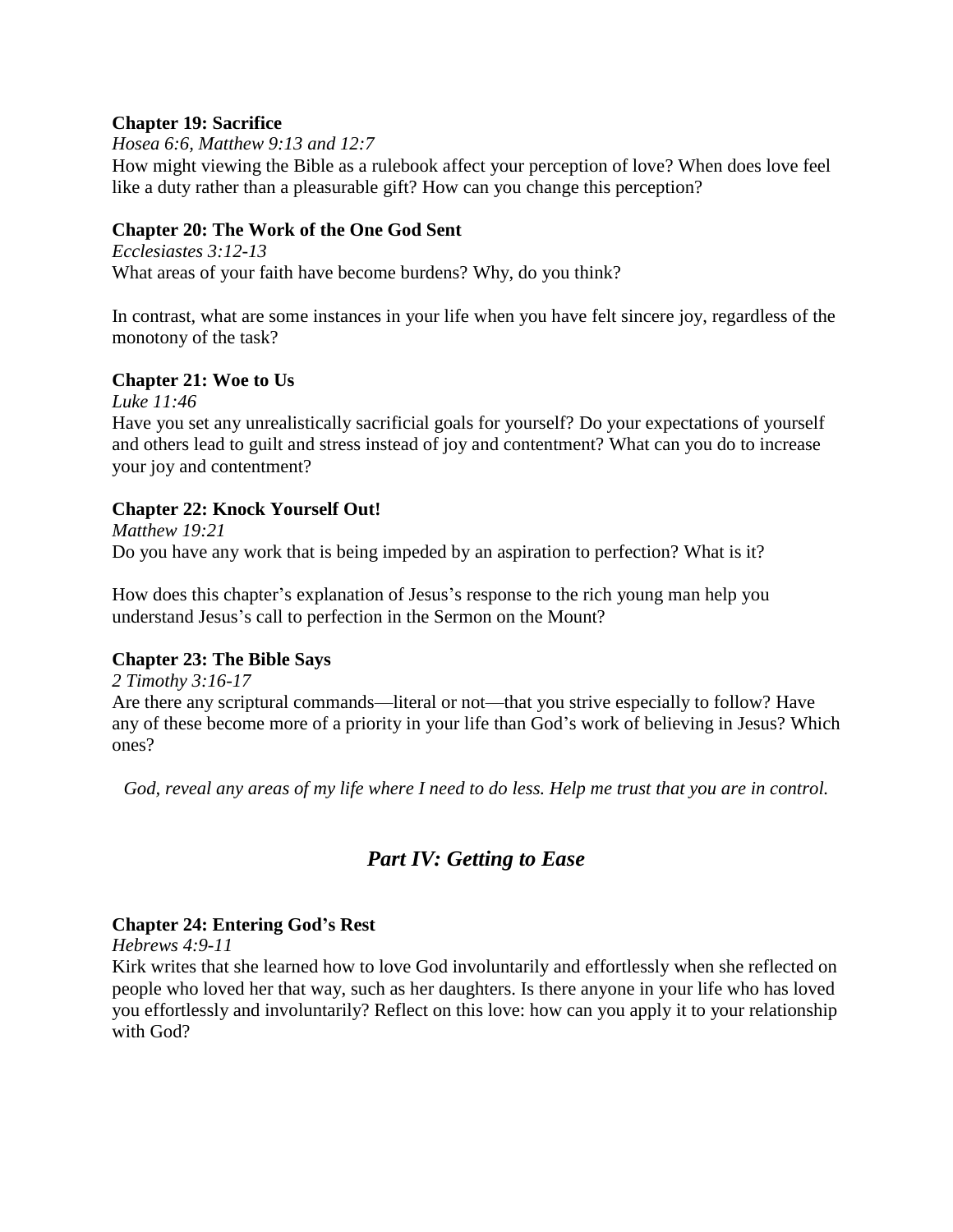#### **Chapter 19: Sacrifice**

*Hosea 6:6, Matthew 9:13 and 12:7*

How might viewing the Bible as a rulebook affect your perception of love? When does love feel like a duty rather than a pleasurable gift? How can you change this perception?

#### **Chapter 20: The Work of the One God Sent**

*Ecclesiastes 3:12-13* What areas of your faith have become burdens? Why, do you think?

In contrast, what are some instances in your life when you have felt sincere joy, regardless of the monotony of the task?

#### **Chapter 21: Woe to Us**

*Luke 11:46*

Have you set any unrealistically sacrificial goals for yourself? Do your expectations of yourself and others lead to guilt and stress instead of joy and contentment? What can you do to increase your joy and contentment?

#### **Chapter 22: Knock Yourself Out!**

*Matthew 19:21* Do you have any work that is being impeded by an aspiration to perfection? What is it?

How does this chapter's explanation of Jesus's response to the rich young man help you understand Jesus's call to perfection in the Sermon on the Mount?

#### **Chapter 23: The Bible Says**

*2 Timothy 3:16-17*

Are there any scriptural commands—literal or not—that you strive especially to follow? Have any of these become more of a priority in your life than God's work of believing in Jesus? Which ones?

*God, reveal any areas of my life where I need to do less. Help me trust that you are in control.*

## *Part IV: Getting to Ease*

#### **Chapter 24: Entering God's Rest**

*Hebrews 4:9-11*

Kirk writes that she learned how to love God involuntarily and effortlessly when she reflected on people who loved her that way, such as her daughters. Is there anyone in your life who has loved you effortlessly and involuntarily? Reflect on this love: how can you apply it to your relationship with God?